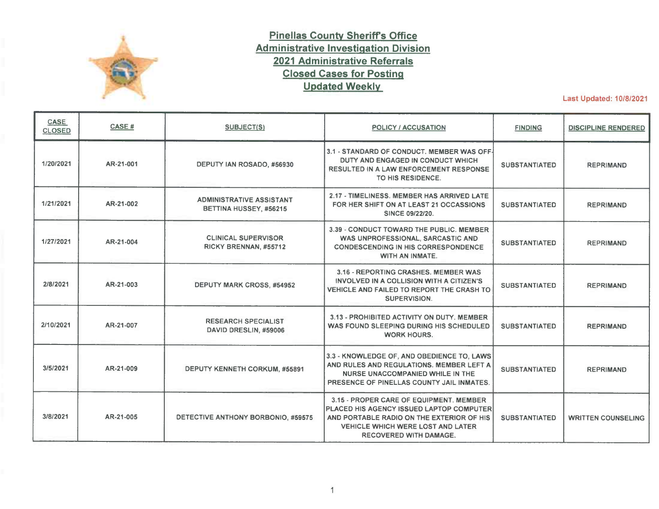

## **Pinellas County Sheriffs Office Administrative Investigation Division 2021 Administrative Referrals Closed Cases for Posting Updated Weekly**

Last Updated: 10/8/2021

| CASE<br><b>CLOSED</b> | CASE #    | <b>SUBJECT(S)</b>                                         | <b>POLICY / ACCUSATION</b>                                                                                                                                                                                    | <b>FINDING</b>       | <b>DISCIPLINE RENDERED</b> |
|-----------------------|-----------|-----------------------------------------------------------|---------------------------------------------------------------------------------------------------------------------------------------------------------------------------------------------------------------|----------------------|----------------------------|
| 1/20/2021             | AR-21-001 | DEPUTY IAN ROSADO, #56930                                 | 3.1 - STANDARD OF CONDUCT. MEMBER WAS OFF-<br>DUTY AND ENGAGED IN CONDUCT WHICH<br><b>RESULTED IN A LAW ENFORCEMENT RESPONSE</b><br>TO HIS RESIDENCE.                                                         | <b>SUBSTANTIATED</b> | <b>REPRIMAND</b>           |
| 1/21/2021             | AR-21-002 | <b>ADMINISTRATIVE ASSISTANT</b><br>BETTINA HUSSEY, #56215 | 2.17 - TIMELINESS, MEMBER HAS ARRIVED LATE<br>FOR HER SHIFT ON AT LEAST 21 OCCASSIONS<br><b>SINCE 09/22/20.</b>                                                                                               | <b>SUBSTANTIATED</b> | <b>REPRIMAND</b>           |
| 1/27/2021             | AR-21-004 | <b>CLINICAL SUPERVISOR</b><br>RICKY BRENNAN, #55712       | 3.39 - CONDUCT TOWARD THE PUBLIC. MEMBER<br>WAS UNPROFESSIONAL, SARCASTIC AND<br><b>CONDESCENDING IN HIS CORRESPONDENCE</b><br><b>WITH AN INMATE.</b>                                                         | <b>SUBSTANTIATED</b> | <b>REPRIMAND</b>           |
| 2/8/2021              | AR-21-003 | <b>DEPUTY MARK CROSS, #54952</b>                          | 3.16 - REPORTING CRASHES. MEMBER WAS<br>INVOLVED IN A COLLISION WITH A CITIZEN'S<br>VEHICLE AND FAILED TO REPORT THE CRASH TO<br><b>SUPERVISION.</b>                                                          | <b>SUBSTANTIATED</b> | <b>REPRIMAND</b>           |
| 2/10/2021             | AR-21-007 | <b>RESEARCH SPECIALIST</b><br>DAVID DRESLIN, #59006       | 3.13 - PROHIBITED ACTIVITY ON DUTY, MEMBER<br>WAS FOUND SLEEPING DURING HIS SCHEDULED<br><b>WORK HOURS.</b>                                                                                                   | <b>SUBSTANTIATED</b> | <b>REPRIMAND</b>           |
| 3/5/2021              | AR-21-009 | <b>DEPUTY KENNETH CORKUM, #55891</b>                      | 3.3 - KNOWLEDGE OF, AND OBEDIENCE TO, LAWS<br>AND RULES AND REGULATIONS. MEMBER LEFT A<br><b>NURSE UNACCOMPANIED WHILE IN THE</b><br>PRESENCE OF PINELLAS COUNTY JAIL INMATES.                                | <b>SUBSTANTIATED</b> | <b>REPRIMAND</b>           |
| 3/8/2021              | AR-21-005 | DETECTIVE ANTHONY BORBONIO, #59575                        | 3.15 - PROPER CARE OF EQUIPMENT. MEMBER<br>PLACED HIS AGENCY ISSUED LAPTOP COMPUTER<br>AND PORTABLE RADIO ON THE EXTERIOR OF HIS<br><b>VEHICLE WHICH WERE LOST AND LATER</b><br><b>RECOVERED WITH DAMAGE.</b> | <b>SUBSTANTIATED</b> | <b>WRITTEN COUNSELING</b>  |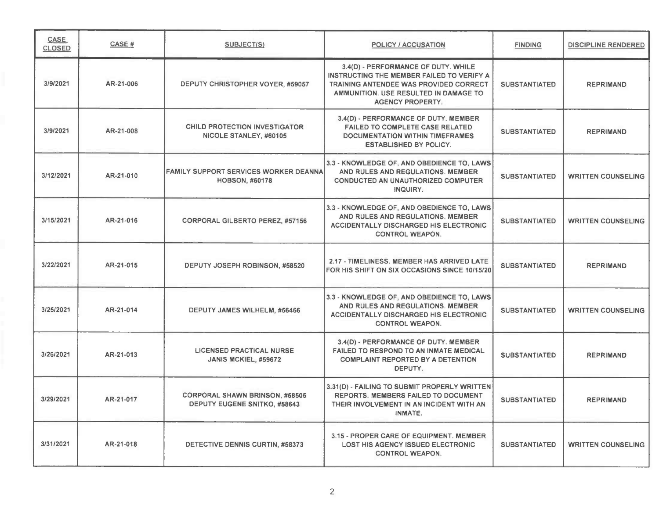| <b>CASE</b><br><b>CLOSED</b> | <b>CASE#</b> | <b>SUBJECT(S)</b>                                                      | <b>POLICY / ACCUSATION</b>                                                                                                                                                                            | <b>FINDING</b>       | <b>DISCIPLINE RENDERED</b> |
|------------------------------|--------------|------------------------------------------------------------------------|-------------------------------------------------------------------------------------------------------------------------------------------------------------------------------------------------------|----------------------|----------------------------|
| 3/9/2021                     | AR-21-006    | DEPUTY CHRISTOPHER VOYER, #59057                                       | 3.4(D) - PERFORMANCE OF DUTY. WHILE<br>INSTRUCTING THE MEMBER FAILED TO VERIFY A<br><b>TRAINING ANTENDEE WAS PROVIDED CORRECT</b><br>AMMUNITION. USE RESULTED IN DAMAGE TO<br><b>AGENCY PROPERTY.</b> | <b>SUBSTANTIATED</b> | <b>REPRIMAND</b>           |
| 3/9/2021                     | AR-21-008    | CHILD PROTECTION INVESTIGATOR<br>NICOLE STANLEY, #60105                | 3.4(D) - PERFORMANCE OF DUTY. MEMBER<br><b>FAILED TO COMPLETE CASE RELATED</b><br><b>DOCUMENTATION WITHIN TIMEFRAMES</b><br><b>ESTABLISHED BY POLICY.</b>                                             | <b>SUBSTANTIATED</b> | <b>REPRIMAND</b>           |
| 3/12/2021                    | AR-21-010    | <b>FAMILY SUPPORT SERVICES WORKER DEANNAL</b><br><b>HOBSON, #60178</b> | 3.3 - KNOWLEDGE OF, AND OBEDIENCE TO, LAWS<br>AND RULES AND REGULATIONS. MEMBER<br><b>CONDUCTED AN UNAUTHORIZED COMPUTER</b><br>INQUIRY.                                                              | <b>SUBSTANTIATED</b> | <b>WRITTEN COUNSELING</b>  |
| 3/15/2021                    | AR-21-016    | <b>CORPORAL GILBERTO PEREZ, #57156</b>                                 | 3.3 - KNOWLEDGE OF, AND OBEDIENCE TO, LAWS<br>AND RULES AND REGULATIONS. MEMBER<br><b>ACCIDENTALLY DISCHARGED HIS ELECTRONIC</b><br><b>CONTROL WEAPON.</b>                                            | <b>SUBSTANTIATED</b> | <b>WRITTEN COUNSELING</b>  |
| 3/22/2021                    | AR-21-015    | DEPUTY JOSEPH ROBINSON, #58520                                         | 2.17 - TIMELINESS, MEMBER HAS ARRIVED LATE<br>FOR HIS SHIFT ON SIX OCCASIONS SINCE 10/15/20                                                                                                           | <b>SUBSTANTIATED</b> | <b>REPRIMAND</b>           |
| 3/25/2021                    | AR-21-014    | DEPUTY JAMES WILHELM, #56466                                           | 3.3 - KNOWLEDGE OF, AND OBEDIENCE TO, LAWS<br>AND RULES AND REGULATIONS. MEMBER<br><b>ACCIDENTALLY DISCHARGED HIS ELECTRONIC</b><br><b>CONTROL WEAPON.</b>                                            | <b>SUBSTANTIATED</b> | <b>WRITTEN COUNSELING</b>  |
| 3/26/2021                    | AR-21-013    | <b>LICENSED PRACTICAL NURSE</b><br><b>JANIS MCKIEL, #59672</b>         | 3.4(D) - PERFORMANCE OF DUTY. MEMBER<br><b>FAILED TO RESPOND TO AN INMATE MEDICAL</b><br><b>COMPLAINT REPORTED BY A DETENTION</b><br>DEPUTY.                                                          | <b>SUBSTANTIATED</b> | <b>REPRIMAND</b>           |
| 3/29/2021                    | AR-21-017    | <b>CORPORAL SHAWN BRINSON, #58505</b><br>DEPUTY EUGENE SNITKO, #58643  | 3.31(D) - FAILING TO SUBMIT PROPERLY WRITTEN<br><b>REPORTS. MEMBERS FAILED TO DOCUMENT</b><br>THEIR INVOLVEMENT IN AN INCIDENT WITH AN<br><b>INMATE.</b>                                              | <b>SUBSTANTIATED</b> | <b>REPRIMAND</b>           |
| 3/31/2021                    | AR-21-018    | DETECTIVE DENNIS CURTIN, #58373                                        | 3.15 - PROPER CARE OF EQUIPMENT. MEMBER<br><b>LOST HIS AGENCY ISSUED ELECTRONIC</b><br><b>CONTROL WEAPON.</b>                                                                                         | <b>SUBSTANTIATED</b> | <b>WRITTEN COUNSELING</b>  |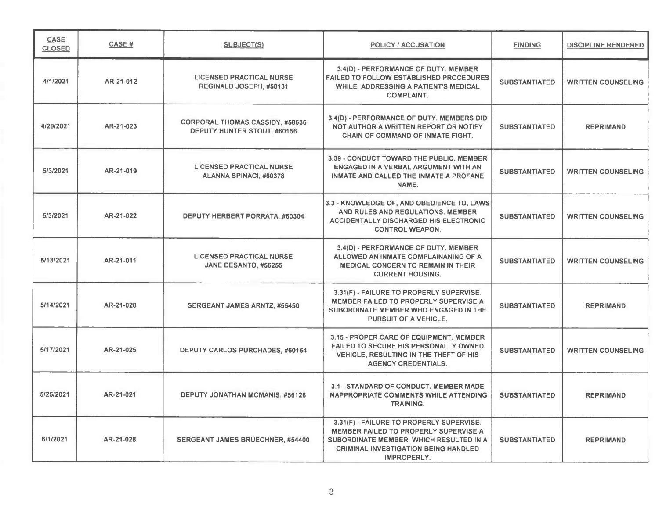| CASE<br><b>CLOSED</b> | <b>CASE#</b> | <b>SUBJECT(S)</b>                                                     | <b>POLICY / ACCUSATION</b>                                                                                                                                                                        | <b>FINDING</b>       | <b>DISCIPLINE RENDERED</b> |
|-----------------------|--------------|-----------------------------------------------------------------------|---------------------------------------------------------------------------------------------------------------------------------------------------------------------------------------------------|----------------------|----------------------------|
| 4/1/2021              | AR-21-012    | <b>LICENSED PRACTICAL NURSE</b><br>REGINALD JOSEPH, #58131            | 3.4(D) - PERFORMANCE OF DUTY. MEMBER<br><b>FAILED TO FOLLOW ESTABLISHED PROCEDURES</b><br>WHILE ADDRESSING A PATIENT'S MEDICAL<br><b>COMPLAINT.</b>                                               | <b>SUBSTANTIATED</b> | <b>WRITTEN COUNSELING</b>  |
| 4/29/2021             | AR-21-023    | <b>CORPORAL THOMAS CASSIDY, #58636</b><br>DEPUTY HUNTER STOUT, #60156 | 3.4(D) - PERFORMANCE OF DUTY. MEMBERS DID<br>NOT AUTHOR A WRITTEN REPORT OR NOTIFY<br><b>CHAIN OF COMMAND OF INMATE FIGHT.</b>                                                                    | <b>SUBSTANTIATED</b> | <b>REPRIMAND</b>           |
| 5/3/2021              | AR-21-019    | <b>LICENSED PRACTICAL NURSE</b><br>ALANNA SPINACI, #60378             | 3.39 - CONDUCT TOWARD THE PUBLIC. MEMBER<br>ENGAGED IN A VERBAL ARGUMENT WITH AN<br>INMATE AND CALLED THE INMATE A PROFANE<br>NAME.                                                               | <b>SUBSTANTIATED</b> | <b>WRITTEN COUNSELING</b>  |
| 5/3/2021              | AR-21-022    | <b>DEPUTY HERBERT PORRATA, #60304</b>                                 | 3.3 - KNOWLEDGE OF, AND OBEDIENCE TO, LAWS<br>AND RULES AND REGULATIONS. MEMBER<br><b>ACCIDENTALLY DISCHARGED HIS ELECTRONIC</b><br><b>CONTROL WEAPON.</b>                                        | <b>SUBSTANTIATED</b> | <b>WRITTEN COUNSELING</b>  |
| 5/13/2021             | AR-21-011    | <b>LICENSED PRACTICAL NURSE</b><br>JANE DESANTO, #56255               | 3.4(D) - PERFORMANCE OF DUTY. MEMBER<br>ALLOWED AN INMATE COMPLAINANING OF A<br><b>MEDICAL CONCERN TO REMAIN IN THEIR</b><br><b>CURRENT HOUSING.</b>                                              | <b>SUBSTANTIATED</b> | <b>WRITTEN COUNSELING</b>  |
| 5/14/2021             | AR-21-020    | SERGEANT JAMES ARNTZ, #55450                                          | 3.31(F) - FAILURE TO PROPERLY SUPERVISE.<br><b>MEMBER FAILED TO PROPERLY SUPERVISE A</b><br>SUBORDINATE MEMBER WHO ENGAGED IN THE<br><b>PURSUIT OF A VEHICLE.</b>                                 | <b>SUBSTANTIATED</b> | <b>REPRIMAND</b>           |
| 5/17/2021             | AR-21-025    | <b>DEPUTY CARLOS PURCHADES, #60154</b>                                | 3.15 - PROPER CARE OF EQUIPMENT. MEMBER<br>FAILED TO SECURE HIS PERSONALLY OWNED<br>VEHICLE, RESULTING IN THE THEFT OF HIS<br><b>AGENCY CREDENTIALS.</b>                                          | <b>SUBSTANTIATED</b> | <b>WRITTEN COUNSELING</b>  |
| 5/25/2021             | AR-21-021    | <b>DEPUTY JONATHAN MCMANIS, #56128</b>                                | 3.1 - STANDARD OF CONDUCT. MEMBER MADE<br><b>INAPPROPRIATE COMMENTS WHILE ATTENDING</b><br><b>TRAINING.</b>                                                                                       | <b>SUBSTANTIATED</b> | <b>REPRIMAND</b>           |
| 6/1/2021              | AR-21-028    | SERGEANT JAMES BRUECHNER, #54400                                      | 3.31(F) - FAILURE TO PROPERLY SUPERVISE.<br><b>MEMBER FAILED TO PROPERLY SUPERVISE A</b><br>SUBORDINATE MEMBER, WHICH RESULTED IN A<br><b>CRIMINAL INVESTIGATION BEING HANDLED</b><br>IMPROPERLY. | <b>SUBSTANTIATED</b> | <b>REPRIMAND</b>           |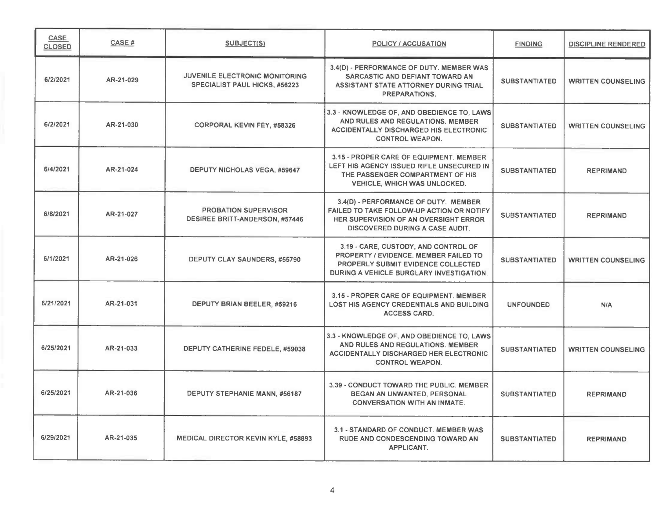| CASE<br><b>CLOSED</b> | <b>CASE#</b> | SUBJECT(S)                                                                    | <b>POLICY / ACCUSATION</b>                                                                                                                                             | <b>FINDING</b>       | <b>DISCIPLINE RENDERED</b> |
|-----------------------|--------------|-------------------------------------------------------------------------------|------------------------------------------------------------------------------------------------------------------------------------------------------------------------|----------------------|----------------------------|
| 6/2/2021              | AR-21-029    | <b>JUVENILE ELECTRONIC MONITORING</b><br><b>SPECIALIST PAUL HICKS, #56223</b> | 3.4(D) - PERFORMANCE OF DUTY. MEMBER WAS<br>SARCASTIC AND DEFIANT TOWARD AN<br>ASSISTANT STATE ATTORNEY DURING TRIAL<br>PREPARATIONS.                                  | <b>SUBSTANTIATED</b> | <b>WRITTEN COUNSELING</b>  |
| 6/2/2021              | AR-21-030    | <b>CORPORAL KEVIN FEY, #58326</b>                                             | 3.3 - KNOWLEDGE OF, AND OBEDIENCE TO, LAWS<br>AND RULES AND REGULATIONS. MEMBER<br><b>ACCIDENTALLY DISCHARGED HIS ELECTRONIC</b><br><b>CONTROL WEAPON.</b>             | <b>SUBSTANTIATED</b> | <b>WRITTEN COUNSELING</b>  |
| 6/4/2021              | AR-21-024    | <b>DEPUTY NICHOLAS VEGA, #59647</b>                                           | 3.15 - PROPER CARE OF EQUIPMENT. MEMBER<br>LEFT HIS AGENCY ISSUED RIFLE UNSECURED IN<br>THE PASSENGER COMPARTMENT OF HIS<br><b>VEHICLE, WHICH WAS UNLOCKED.</b>        | <b>SUBSTANTIATED</b> | <b>REPRIMAND</b>           |
| 6/8/2021              | AR-21-027    | <b>PROBATION SUPERVISOR</b><br><b>DESIREE BRITT-ANDERSON, #57446</b>          | 3.4(D) - PERFORMANCE OF DUTY. MEMBER<br>FAILED TO TAKE FOLLOW-UP ACTION OR NOTIFY<br>HER SUPERVISION OF AN OVERSIGHT ERROR<br><b>DISCOVERED DURING A CASE AUDIT.</b>   | <b>SUBSTANTIATED</b> | <b>REPRIMAND</b>           |
| 6/1/2021              | AR-21-026    | DEPUTY CLAY SAUNDERS, #55790                                                  | 3.19 - CARE, CUSTODY, AND CONTROL OF<br>PROPERTY / EVIDENCE, MEMBER FAILED TO<br><b>PROPERLY SUBMIT EVIDENCE COLLECTED</b><br>DURING A VEHICLE BURGLARY INVESTIGATION. | <b>SUBSTANTIATED</b> | <b>WRITTEN COUNSELING</b>  |
| 6/21/2021             | AR-21-031    | DEPUTY BRIAN BEELER, #59216                                                   | 3.15 - PROPER CARE OF EQUIPMENT. MEMBER<br>LOST HIS AGENCY CREDENTIALS AND BUILDING<br><b>ACCESS CARD.</b>                                                             | <b>UNFOUNDED</b>     | N/A                        |
| 6/25/2021             | AR-21-033    | DEPUTY CATHERINE FEDELE, #59038                                               | 3.3 - KNOWLEDGE OF, AND OBEDIENCE TO, LAWS<br>AND RULES AND REGULATIONS. MEMBER<br><b>ACCIDENTALLY DISCHARGED HER ELECTRONIC</b><br><b>CONTROL WEAPON.</b>             | <b>SUBSTANTIATED</b> | <b>WRITTEN COUNSELING</b>  |
| 6/25/2021             | AR-21-036    | <b>DEPUTY STEPHANIE MANN, #56187</b>                                          | 3.39 - CONDUCT TOWARD THE PUBLIC, MEMBER<br>BEGAN AN UNWANTED, PERSONAL<br><b>CONVERSATION WITH AN INMATE.</b>                                                         | <b>SUBSTANTIATED</b> | <b>REPRIMAND</b>           |
| 6/29/2021             | AR-21-035    | <b>MEDICAL DIRECTOR KEVIN KYLE, #58893</b>                                    | 3.1 - STANDARD OF CONDUCT. MEMBER WAS<br>RUDE AND CONDESCENDING TOWARD AN<br><b>APPLICANT.</b>                                                                         | <b>SUBSTANTIATED</b> | <b>REPRIMAND</b>           |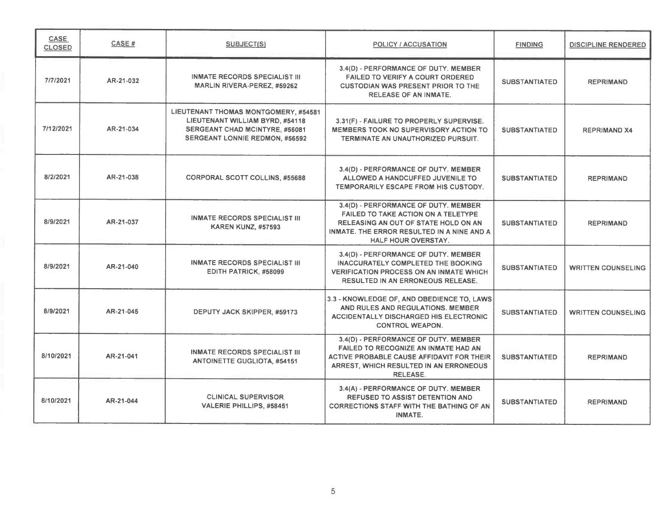| CASE<br><b>CLOSED</b> | CASE#     | <b>SUBJECT(S)</b>                                                                                                                                  | <b>POLICY / ACCUSATION</b>                                                                                                                                                                      | <b>FINDING</b>       | <b>DISCIPLINE RENDERED</b> |
|-----------------------|-----------|----------------------------------------------------------------------------------------------------------------------------------------------------|-------------------------------------------------------------------------------------------------------------------------------------------------------------------------------------------------|----------------------|----------------------------|
| 7/7/2021              | AR-21-032 | <b>INMATE RECORDS SPECIALIST III</b><br><b>MARLIN RIVERA-PEREZ, #59262</b>                                                                         | 3.4(D) - PERFORMANCE OF DUTY. MEMBER<br><b>FAILED TO VERIFY A COURT ORDERED</b><br><b>CUSTODIAN WAS PRESENT PRIOR TO THE</b><br><b>RELEASE OF AN INMATE.</b>                                    | <b>SUBSTANTIATED</b> | <b>REPRIMAND</b>           |
| 7/12/2021             | AR-21-034 | LIEUTENANT THOMAS MONTGOMERY, #54581<br>LIEUTENANT WILLIAM BYRD, #54118<br>SERGEANT CHAD MCINTYRE, #56081<br><b>SERGEANT LONNIE REDMON, #56592</b> | 3.31(F) - FAILURE TO PROPERLY SUPERVISE.<br><b>MEMBERS TOOK NO SUPERVISORY ACTION TO</b><br>TERMINATE AN UNAUTHORIZED PURSUIT.                                                                  | <b>SUBSTANTIATED</b> | <b>REPRIMAND X4</b>        |
| 8/2/2021              | AR-21-038 | <b>CORPORAL SCOTT COLLINS, #55688</b>                                                                                                              | 3.4(D) - PERFORMANCE OF DUTY. MEMBER<br>ALLOWED A HANDCUFFED JUVENILE TO<br>TEMPORARILY ESCAPE FROM HIS CUSTODY.                                                                                | <b>SUBSTANTIATED</b> | <b>REPRIMAND</b>           |
| 8/9/2021              | AR-21-037 | <b>INMATE RECORDS SPECIALIST III</b><br><b>KAREN KUNZ, #57593</b>                                                                                  | 3.4(D) - PERFORMANCE OF DUTY. MEMBER<br><b>FAILED TO TAKE ACTION ON A TELETYPE</b><br>RELEASING AN OUT OF STATE HOLD ON AN<br>INMATE. THE ERROR RESULTED IN A NINE AND A<br>HALF HOUR OVERSTAY. | <b>SUBSTANTIATED</b> | <b>REPRIMAND</b>           |
| 8/9/2021              | AR-21-040 | <b>INMATE RECORDS SPECIALIST III</b><br>EDITH PATRICK, #58099                                                                                      | 3.4(D) - PERFORMANCE OF DUTY. MEMBER<br><b>INACCURATELY COMPLETED THE BOOKING</b><br><b>VERIFICATION PROCESS ON AN INMATE WHICH</b><br><b>RESULTED IN AN ERRONEOUS RELEASE.</b>                 | <b>SUBSTANTIATED</b> | <b>WRITTEN COUNSELING</b>  |
| 8/9/2021              | AR-21-045 | DEPUTY JACK SKIPPER, #59173                                                                                                                        | 3.3 - KNOWLEDGE OF, AND OBEDIENCE TO, LAWS<br>AND RULES AND REGULATIONS. MEMBER<br><b>ACCIDENTALLY DISCHARGED HIS ELECTRONIC</b><br><b>CONTROL WEAPON.</b>                                      | <b>SUBSTANTIATED</b> | <b>WRITTEN COUNSELING</b>  |
| 8/10/2021             | AR-21-041 | <b>INMATE RECORDS SPECIALIST III</b><br><b>ANTOINETTE GUGLIOTA, #54151</b>                                                                         | 3.4(D) - PERFORMANCE OF DUTY. MEMBER<br>FAILED TO RECOGNIZE AN INMATE HAD AN<br>ACTIVE PROBABLE CAUSE AFFIDAVIT FOR THEIR<br>ARREST, WHICH RESULTED IN AN ERRONEOUS<br><b>RELEASE.</b>          | <b>SUBSTANTIATED</b> | <b>REPRIMAND</b>           |
| 8/10/2021             | AR-21-044 | <b>CLINICAL SUPERVISOR</b><br><b>VALERIE PHILLIPS, #58451</b>                                                                                      | 3.4(A) - PERFORMANCE OF DUTY. MEMBER<br><b>REFUSED TO ASSIST DETENTION AND</b><br><b>CORRECTIONS STAFF WITH THE BATHING OF AN</b><br><b>INMATE.</b>                                             | <b>SUBSTANTIATED</b> | <b>REPRIMAND</b>           |